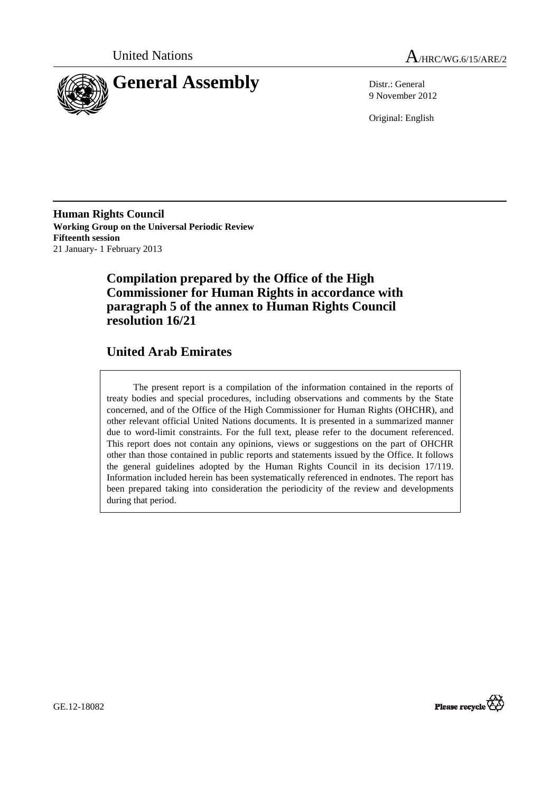



9 November 2012

Original: English

**Human Rights Council Working Group on the Universal Periodic Review Fifteenth session**  21 January- 1 February 2013

# **Compilation prepared by the Office of the High Commissioner for Human Rights in accordance with paragraph 5 of the annex to Human Rights Council resolution 16/21**

# **United Arab Emirates**

The present report is a compilation of the information contained in the reports of treaty bodies and special procedures, including observations and comments by the State concerned, and of the Office of the High Commissioner for Human Rights (OHCHR), and other relevant official United Nations documents. It is presented in a summarized manner due to word-limit constraints. For the full text, please refer to the document referenced. This report does not contain any opinions, views or suggestions on the part of OHCHR other than those contained in public reports and statements issued by the Office. It follows the general guidelines adopted by the Human Rights Council in its decision 17/119. Information included herein has been systematically referenced in endnotes. The report has been prepared taking into consideration the periodicity of the review and developments during that period.

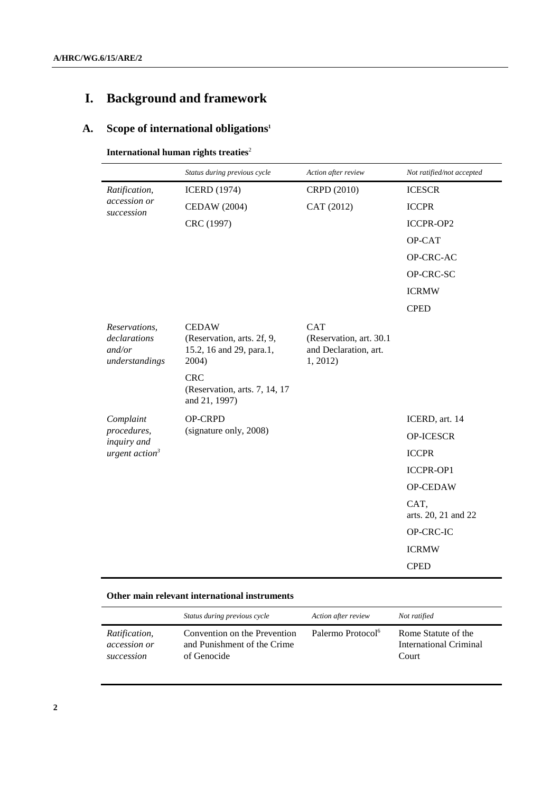# **I. Background and framework**

# **A. Scope of international obligations<sup>1</sup>**

# **International human rights treaties**<sup>2</sup>

|                                                           | Status during previous cycle                                                    | Action after review                                                        | Not ratified/not accepted   |
|-----------------------------------------------------------|---------------------------------------------------------------------------------|----------------------------------------------------------------------------|-----------------------------|
| Ratification,<br>accession or<br>succession               | <b>ICERD</b> (1974)                                                             | CRPD (2010)                                                                | <b>ICESCR</b>               |
|                                                           | CEDAW (2004)                                                                    | CAT (2012)                                                                 | <b>ICCPR</b>                |
|                                                           | CRC (1997)                                                                      |                                                                            | ICCPR-OP2                   |
|                                                           |                                                                                 |                                                                            | OP-CAT                      |
|                                                           |                                                                                 |                                                                            | OP-CRC-AC                   |
|                                                           |                                                                                 |                                                                            | OP-CRC-SC                   |
|                                                           |                                                                                 |                                                                            | <b>ICRMW</b>                |
|                                                           |                                                                                 |                                                                            | <b>CPED</b>                 |
| Reservations,<br>declarations<br>and/or<br>understandings | <b>CEDAW</b><br>(Reservation, arts. 2f, 9,<br>15.2, 16 and 29, para.1,<br>2004) | <b>CAT</b><br>(Reservation, art. 30.1)<br>and Declaration, art.<br>1, 2012 |                             |
|                                                           | <b>CRC</b><br>(Reservation, arts. 7, 14, 17)<br>and 21, 1997)                   |                                                                            |                             |
| Complaint                                                 | OP-CRPD                                                                         |                                                                            | ICERD, art. 14              |
| procedures,<br>inquiry and                                | (signature only, 2008)                                                          |                                                                            | <b>OP-ICESCR</b>            |
| urgent action <sup>3</sup>                                |                                                                                 |                                                                            | <b>ICCPR</b>                |
|                                                           |                                                                                 |                                                                            | ICCPR-OP1                   |
|                                                           |                                                                                 |                                                                            | OP-CEDAW                    |
|                                                           |                                                                                 |                                                                            | CAT,<br>arts. 20, 21 and 22 |
|                                                           |                                                                                 |                                                                            | OP-CRC-IC                   |
|                                                           |                                                                                 |                                                                            | <b>ICRMW</b>                |
|                                                           |                                                                                 |                                                                            | <b>CPED</b>                 |

# **Other main relevant international instruments**

|               | Status during previous cycle | Action after review           | Not ratified           |
|---------------|------------------------------|-------------------------------|------------------------|
| Ratification, | Convention on the Prevention | Palermo Protocol <sup>6</sup> | Rome Statute of the    |
| accession or  | and Punishment of the Crime  |                               | International Criminal |
| succession    | of Genocide                  |                               | Court                  |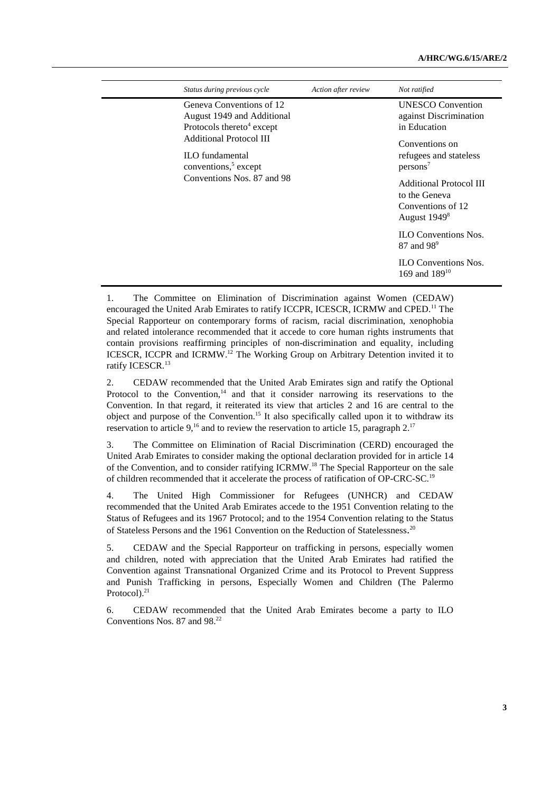#### **A/HRC/WG.6/15/ARE/2**

| Status during previous cycle                                                          | Action after review | Not ratified                                                                           |
|---------------------------------------------------------------------------------------|---------------------|----------------------------------------------------------------------------------------|
| Geneva Conventions of 12                                                              |                     | <b>UNESCO</b> Convention                                                               |
| August 1949 and Additional                                                            |                     | against Discrimination                                                                 |
| Protocols thereto <sup>4</sup> except                                                 |                     | in Education                                                                           |
| <b>Additional Protocol III</b><br>ILO fundamental<br>conventions, <sup>5</sup> except |                     | Conventions on<br>refugees and stateless<br>$persons^7$                                |
| Conventions Nos. 87 and 98                                                            |                     | <b>Additional Protocol III</b><br>to the Geneva<br>Conventions of 12<br>August $19498$ |
|                                                                                       |                     | <b>ILO</b> Conventions Nos.<br>87 and 98 <sup>9</sup>                                  |
|                                                                                       |                     | <b>ILO Conventions Nos.</b><br>169 and $189^{10}$                                      |

1. The Committee on Elimination of Discrimination against Women (CEDAW) encouraged the United Arab Emirates to ratify ICCPR, ICESCR, ICRMW and CPED.<sup>11</sup> The Special Rapporteur on contemporary forms of racism, racial discrimination, xenophobia and related intolerance recommended that it accede to core human rights instruments that contain provisions reaffirming principles of non-discrimination and equality, including ICESCR, ICCPR and ICRMW.<sup>12</sup> The Working Group on Arbitrary Detention invited it to ratify ICESCR.<sup>13</sup>

2. CEDAW recommended that the United Arab Emirates sign and ratify the Optional Protocol to the Convention, $14$  and that it consider narrowing its reservations to the Convention. In that regard, it reiterated its view that articles 2 and 16 are central to the object and purpose of the Convention.<sup>15</sup> It also specifically called upon it to withdraw its reservation to article 9,<sup>16</sup> and to review the reservation to article 15, paragraph  $2^{17}$ 

3. The Committee on Elimination of Racial Discrimination (CERD) encouraged the United Arab Emirates to consider making the optional declaration provided for in article 14 of the Convention, and to consider ratifying ICRMW.<sup>18</sup> The Special Rapporteur on the sale of children recommended that it accelerate the process of ratification of OP-CRC-SC.<sup>19</sup>

4. The United High Commissioner for Refugees (UNHCR) and CEDAW recommended that the United Arab Emirates accede to the 1951 Convention relating to the Status of Refugees and its 1967 Protocol; and to the 1954 Convention relating to the Status of Stateless Persons and the 1961 Convention on the Reduction of Statelessness.<sup>20</sup>

5. CEDAW and the Special Rapporteur on trafficking in persons, especially women and children, noted with appreciation that the United Arab Emirates had ratified the Convention against Transnational Organized Crime and its Protocol to Prevent Suppress and Punish Trafficking in persons, Especially Women and Children (The Palermo Protocol $)^{21}$ 

6. CEDAW recommended that the United Arab Emirates become a party to ILO Conventions Nos. 87 and 98.<sup>22</sup>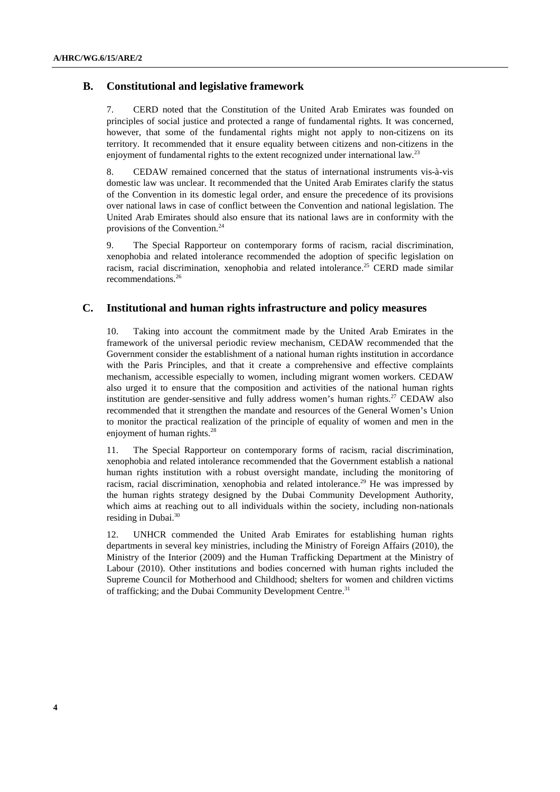### **B. Constitutional and legislative framework**

7. CERD noted that the Constitution of the United Arab Emirates was founded on principles of social justice and protected a range of fundamental rights. It was concerned, however, that some of the fundamental rights might not apply to non-citizens on its territory. It recommended that it ensure equality between citizens and non-citizens in the enjoyment of fundamental rights to the extent recognized under international law.<sup>23</sup>

8. CEDAW remained concerned that the status of international instruments vis-à-vis domestic law was unclear. It recommended that the United Arab Emirates clarify the status of the Convention in its domestic legal order, and ensure the precedence of its provisions over national laws in case of conflict between the Convention and national legislation. The United Arab Emirates should also ensure that its national laws are in conformity with the provisions of the Convention.<sup>24</sup>

9. The Special Rapporteur on contemporary forms of racism, racial discrimination, xenophobia and related intolerance recommended the adoption of specific legislation on racism, racial discrimination, xenophobia and related intolerance.<sup>25</sup> CERD made similar recommendations.<sup>26</sup>

### **C. Institutional and human rights infrastructure and policy measures**

10. Taking into account the commitment made by the United Arab Emirates in the framework of the universal periodic review mechanism, CEDAW recommended that the Government consider the establishment of a national human rights institution in accordance with the Paris Principles, and that it create a comprehensive and effective complaints mechanism, accessible especially to women, including migrant women workers. CEDAW also urged it to ensure that the composition and activities of the national human rights institution are gender-sensitive and fully address women's human rights.<sup>27</sup> CEDAW also recommended that it strengthen the mandate and resources of the General Women's Union to monitor the practical realization of the principle of equality of women and men in the enjoyment of human rights.<sup>28</sup>

11. The Special Rapporteur on contemporary forms of racism, racial discrimination, xenophobia and related intolerance recommended that the Government establish a national human rights institution with a robust oversight mandate, including the monitoring of racism, racial discrimination, xenophobia and related intolerance.<sup>29</sup> He was impressed by the human rights strategy designed by the Dubai Community Development Authority, which aims at reaching out to all individuals within the society, including non-nationals residing in Dubai. $30$ 

12. UNHCR commended the United Arab Emirates for establishing human rights departments in several key ministries, including the Ministry of Foreign Affairs (2010), the Ministry of the Interior (2009) and the Human Trafficking Department at the Ministry of Labour (2010). Other institutions and bodies concerned with human rights included the Supreme Council for Motherhood and Childhood; shelters for women and children victims of trafficking; and the Dubai Community Development Centre.<sup>31</sup>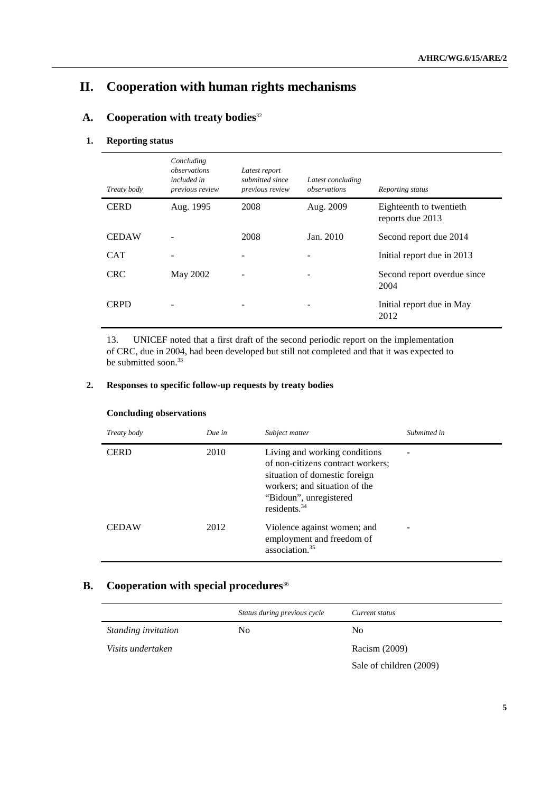# **II. Cooperation with human rights mechanisms**

# **A. Cooperation with treaty bodies**<sup>32</sup>

# **1. Reporting status**

| Treaty body  | Concluding<br>observations<br><i>included in</i><br>previous review | Latest report<br>submitted since<br>previous review | Latest concluding<br>observations | Reporting status                            |
|--------------|---------------------------------------------------------------------|-----------------------------------------------------|-----------------------------------|---------------------------------------------|
| <b>CERD</b>  | Aug. 1995                                                           | 2008                                                | Aug. 2009                         | Eighteenth to twentieth<br>reports due 2013 |
| <b>CEDAW</b> |                                                                     | 2008                                                | Jan. 2010                         | Second report due 2014                      |
| <b>CAT</b>   |                                                                     | -                                                   |                                   | Initial report due in 2013                  |
| <b>CRC</b>   | May 2002                                                            | $\overline{a}$                                      |                                   | Second report overdue since<br>2004         |
| <b>CRPD</b>  |                                                                     |                                                     |                                   | Initial report due in May<br>2012           |

13. UNICEF noted that a first draft of the second periodic report on the implementation of CRC, due in 2004, had been developed but still not completed and that it was expected to be submitted soon.<sup>33</sup>

### **2. Responses to specific follow-up requests by treaty bodies**

| Treaty body  | Due in | Subject matter                                                                                                                                                                    | Submitted in |
|--------------|--------|-----------------------------------------------------------------------------------------------------------------------------------------------------------------------------------|--------------|
| <b>CERD</b>  | 2010   | Living and working conditions<br>of non-citizens contract workers;<br>situation of domestic foreign<br>workers; and situation of the<br>"Bidoun", unregistered<br>residents. $34$ |              |
| <b>CEDAW</b> | 2012   | Violence against women; and<br>employment and freedom of<br>association. <sup>35</sup>                                                                                            |              |

## **Concluding observations**

# **B.** Cooperation with special procedures<sup>36</sup>

|                            | Status during previous cycle | Current status          |
|----------------------------|------------------------------|-------------------------|
| <i>Standing invitation</i> | N <sub>0</sub>               | N <sub>0</sub>          |
| Visits undertaken          |                              | Racism (2009)           |
|                            |                              | Sale of children (2009) |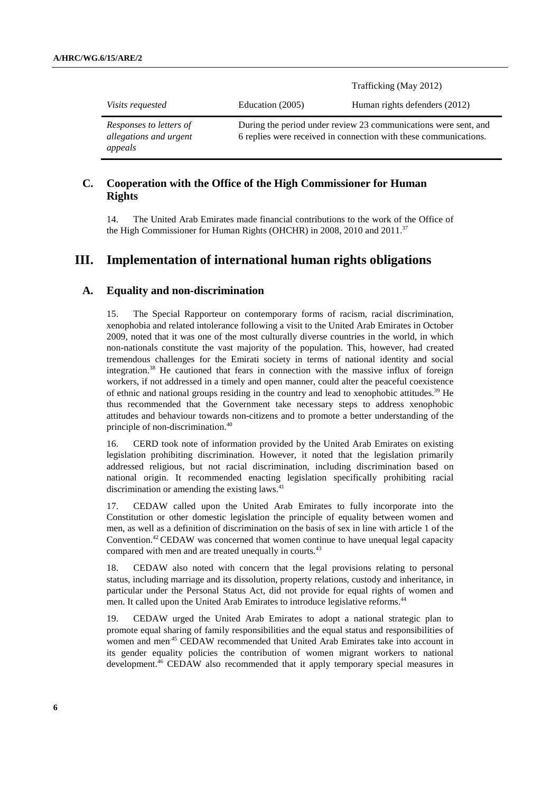|                                                              |                  | Trafficking (May 2012)                                                                                                              |
|--------------------------------------------------------------|------------------|-------------------------------------------------------------------------------------------------------------------------------------|
| <i>Visits requested</i>                                      | Education (2005) | Human rights defenders (2012)                                                                                                       |
| Responses to letters of<br>allegations and urgent<br>appeals |                  | During the period under review 23 communications were sent, and<br>6 replies were received in connection with these communications. |

# **C. Cooperation with the Office of the High Commissioner for Human Rights**

14. The United Arab Emirates made financial contributions to the work of the Office of the High Commissioner for Human Rights (OHCHR) in 2008, 2010 and 2011.<sup>37</sup>

# **III. Implementation of international human rights obligations**

# **A. Equality and non-discrimination**

15. The Special Rapporteur on contemporary forms of racism, racial discrimination, xenophobia and related intolerance following a visit to the United Arab Emirates in October 2009, noted that it was one of the most culturally diverse countries in the world, in which non-nationals constitute the vast majority of the population. This, however, had created tremendous challenges for the Emirati society in terms of national identity and social integration.<sup>38</sup> He cautioned that fears in connection with the massive influx of foreign workers, if not addressed in a timely and open manner, could alter the peaceful coexistence of ethnic and national groups residing in the country and lead to xenophobic attitudes.<sup>39</sup> He thus recommended that the Government take necessary steps to address xenophobic attitudes and behaviour towards non-citizens and to promote a better understanding of the principle of non-discrimination.<sup>40</sup>

16. CERD took note of information provided by the United Arab Emirates on existing legislation prohibiting discrimination. However, it noted that the legislation primarily addressed religious, but not racial discrimination, including discrimination based on national origin. It recommended enacting legislation specifically prohibiting racial discrimination or amending the existing laws. $41$ 

17. CEDAW called upon the United Arab Emirates to fully incorporate into the Constitution or other domestic legislation the principle of equality between women and men, as well as a definition of discrimination on the basis of sex in line with article 1 of the Convention.<sup>42</sup>CEDAW was concerned that women continue to have unequal legal capacity compared with men and are treated unequally in courts.<sup>43</sup>

18. CEDAW also noted with concern that the legal provisions relating to personal status, including marriage and its dissolution, property relations, custody and inheritance, in particular under the Personal Status Act, did not provide for equal rights of women and men. It called upon the United Arab Emirates to introduce legislative reforms.<sup>44</sup>

19. CEDAW urged the United Arab Emirates to adopt a national strategic plan to promote equal sharing of family responsibilities and the equal status and responsibilities of women and men<sup>45</sup> CEDAW recommended that United Arab Emirates take into account in its gender equality policies the contribution of women migrant workers to national development.<sup>46</sup> CEDAW also recommended that it apply temporary special measures in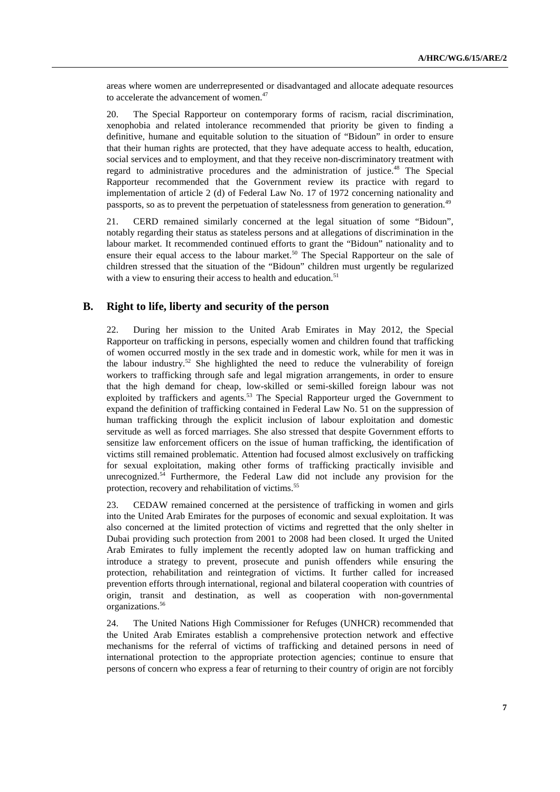areas where women are underrepresented or disadvantaged and allocate adequate resources to accelerate the advancement of women.<sup>47</sup>

20. The Special Rapporteur on contemporary forms of racism, racial discrimination, xenophobia and related intolerance recommended that priority be given to finding a definitive, humane and equitable solution to the situation of "Bidoun" in order to ensure that their human rights are protected, that they have adequate access to health, education, social services and to employment, and that they receive non-discriminatory treatment with regard to administrative procedures and the administration of justice.<sup>48</sup> The Special Rapporteur recommended that the Government review its practice with regard to implementation of article 2 (d) of Federal Law No. 17 of 1972 concerning nationality and passports, so as to prevent the perpetuation of statelessness from generation to generation.<sup>49</sup>

21. CERD remained similarly concerned at the legal situation of some "Bidoun", notably regarding their status as stateless persons and at allegations of discrimination in the labour market. It recommended continued efforts to grant the "Bidoun" nationality and to ensure their equal access to the labour market.<sup>50</sup> The Special Rapporteur on the sale of children stressed that the situation of the "Bidoun" children must urgently be regularized with a view to ensuring their access to health and education.<sup>51</sup>

# **B. Right to life, liberty and security of the person**

22. During her mission to the United Arab Emirates in May 2012, the Special Rapporteur on trafficking in persons, especially women and children found that trafficking of women occurred mostly in the sex trade and in domestic work, while for men it was in the labour industry.<sup>52</sup> She highlighted the need to reduce the vulnerability of foreign workers to trafficking through safe and legal migration arrangements, in order to ensure that the high demand for cheap, low-skilled or semi-skilled foreign labour was not exploited by traffickers and agents.<sup>53</sup> The Special Rapporteur urged the Government to expand the definition of trafficking contained in Federal Law No. 51 on the suppression of human trafficking through the explicit inclusion of labour exploitation and domestic servitude as well as forced marriages. She also stressed that despite Government efforts to sensitize law enforcement officers on the issue of human trafficking, the identification of victims still remained problematic. Attention had focused almost exclusively on trafficking for sexual exploitation, making other forms of trafficking practically invisible and unrecognized.<sup>54</sup> Furthermore, the Federal Law did not include any provision for the protection, recovery and rehabilitation of victims.<sup>55</sup>

23. CEDAW remained concerned at the persistence of trafficking in women and girls into the United Arab Emirates for the purposes of economic and sexual exploitation. It was also concerned at the limited protection of victims and regretted that the only shelter in Dubai providing such protection from 2001 to 2008 had been closed. It urged the United Arab Emirates to fully implement the recently adopted law on human trafficking and introduce a strategy to prevent, prosecute and punish offenders while ensuring the protection, rehabilitation and reintegration of victims. It further called for increased prevention efforts through international, regional and bilateral cooperation with countries of origin, transit and destination, as well as cooperation with non-governmental organizations.<sup>56</sup>

24. The United Nations High Commissioner for Refuges (UNHCR) recommended that the United Arab Emirates establish a comprehensive protection network and effective mechanisms for the referral of victims of trafficking and detained persons in need of international protection to the appropriate protection agencies; continue to ensure that persons of concern who express a fear of returning to their country of origin are not forcibly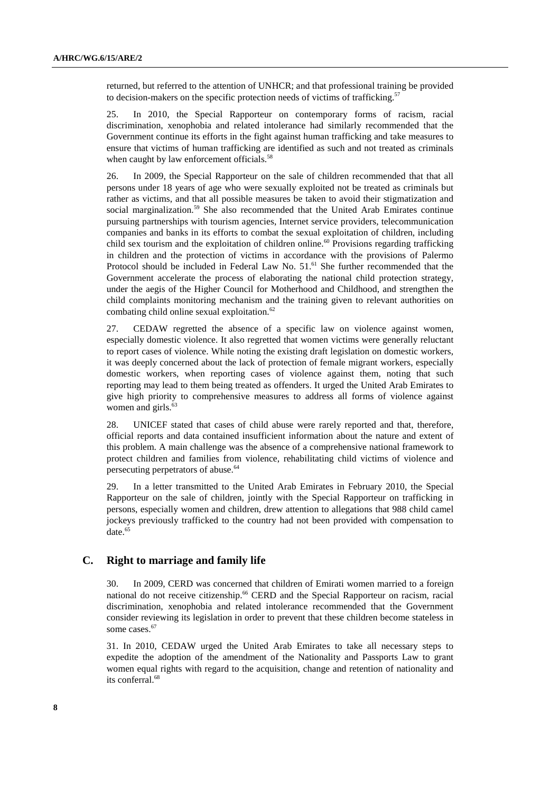returned, but referred to the attention of UNHCR; and that professional training be provided to decision-makers on the specific protection needs of victims of trafficking.<sup>57</sup>

25. In 2010, the Special Rapporteur on contemporary forms of racism, racial discrimination, xenophobia and related intolerance had similarly recommended that the Government continue its efforts in the fight against human trafficking and take measures to ensure that victims of human trafficking are identified as such and not treated as criminals when caught by law enforcement officials.<sup>58</sup>

26. In 2009, the Special Rapporteur on the sale of children recommended that that all persons under 18 years of age who were sexually exploited not be treated as criminals but rather as victims, and that all possible measures be taken to avoid their stigmatization and social marginalization.<sup>59</sup> She also recommended that the United Arab Emirates continue pursuing partnerships with tourism agencies, Internet service providers, telecommunication companies and banks in its efforts to combat the sexual exploitation of children, including child sex tourism and the exploitation of children online.<sup>60</sup> Provisions regarding trafficking in children and the protection of victims in accordance with the provisions of Palermo Protocol should be included in Federal Law No.  $51<sup>61</sup>$  She further recommended that the Government accelerate the process of elaborating the national child protection strategy, under the aegis of the Higher Council for Motherhood and Childhood, and strengthen the child complaints monitoring mechanism and the training given to relevant authorities on combating child online sexual exploitation.<sup>62</sup>

27. CEDAW regretted the absence of a specific law on violence against women, especially domestic violence. It also regretted that women victims were generally reluctant to report cases of violence. While noting the existing draft legislation on domestic workers, it was deeply concerned about the lack of protection of female migrant workers, especially domestic workers, when reporting cases of violence against them, noting that such reporting may lead to them being treated as offenders. It urged the United Arab Emirates to give high priority to comprehensive measures to address all forms of violence against women and girls. $63$ 

28. UNICEF stated that cases of child abuse were rarely reported and that, therefore, official reports and data contained insufficient information about the nature and extent of this problem. A main challenge was the absence of a comprehensive national framework to protect children and families from violence, rehabilitating child victims of violence and persecuting perpetrators of abuse.<sup>64</sup>

29. In a letter transmitted to the United Arab Emirates in February 2010, the Special Rapporteur on the sale of children, jointly with the Special Rapporteur on trafficking in persons, especially women and children, drew attention to allegations that 988 child camel jockeys previously trafficked to the country had not been provided with compensation to  $\det^{65}$ 

## **C. Right to marriage and family life**

30. In 2009, CERD was concerned that children of Emirati women married to a foreign national do not receive citizenship.<sup>66</sup> CERD and the Special Rapporteur on racism, racial discrimination, xenophobia and related intolerance recommended that the Government consider reviewing its legislation in order to prevent that these children become stateless in some cases.<sup>67</sup>

31. In 2010, CEDAW urged the United Arab Emirates to take all necessary steps to expedite the adoption of the amendment of the Nationality and Passports Law to grant women equal rights with regard to the acquisition, change and retention of nationality and its conferral.<sup>68</sup>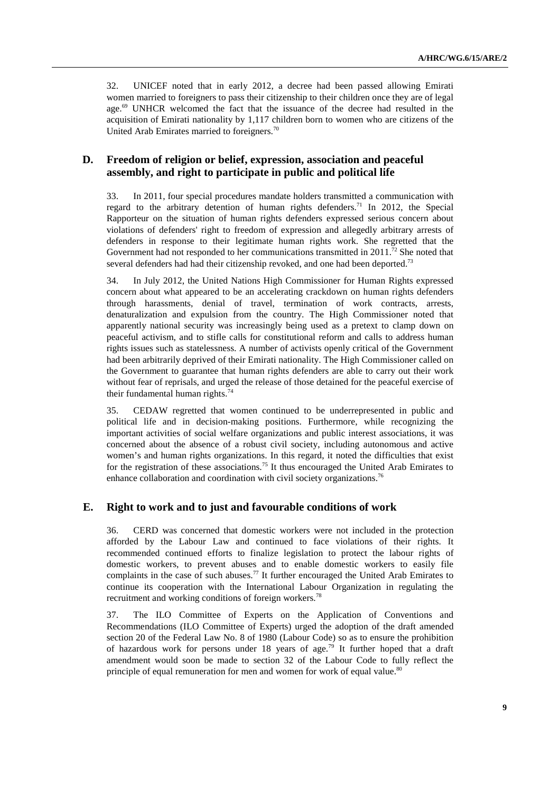32. UNICEF noted that in early 2012, a decree had been passed allowing Emirati women married to foreigners to pass their citizenship to their children once they are of legal age.<sup>69</sup> UNHCR welcomed the fact that the issuance of the decree had resulted in the acquisition of Emirati nationality by 1,117 children born to women who are citizens of the United Arab Emirates married to foreigners.<sup>70</sup>

# **D. Freedom of religion or belief, expression, association and peaceful assembly, and right to participate in public and political life**

33. In 2011, four special procedures mandate holders transmitted a communication with regard to the arbitrary detention of human rights defenders.<sup>71</sup> In 2012, the Special Rapporteur on the situation of human rights defenders expressed serious concern about violations of defenders' right to freedom of expression and allegedly arbitrary arrests of defenders in response to their legitimate human rights work. She regretted that the Government had not responded to her communications transmitted in  $2011$ .<sup>72</sup> She noted that several defenders had had their citizenship revoked, and one had been deported.<sup>73</sup>

34. In July 2012, the United Nations High Commissioner for Human Rights expressed concern about what appeared to be an accelerating crackdown on human rights defenders through harassments, denial of travel, termination of work contracts, arrests, denaturalization and expulsion from the country. The High Commissioner noted that apparently national security was increasingly being used as a pretext to clamp down on peaceful activism, and to stifle calls for constitutional reform and calls to address human rights issues such as statelessness. A number of activists openly critical of the Government had been arbitrarily deprived of their Emirati nationality. The High Commissioner called on the Government to guarantee that human rights defenders are able to carry out their work without fear of reprisals, and urged the release of those detained for the peaceful exercise of their fundamental human rights.<sup>74</sup>

35. CEDAW regretted that women continued to be underrepresented in public and political life and in decision-making positions. Furthermore, while recognizing the important activities of social welfare organizations and public interest associations, it was concerned about the absence of a robust civil society, including autonomous and active women's and human rights organizations. In this regard, it noted the difficulties that exist for the registration of these associations.<sup>75</sup> It thus encouraged the United Arab Emirates to enhance collaboration and coordination with civil society organizations.<sup>76</sup>

#### **E. Right to work and to just and favourable conditions of work**

36. CERD was concerned that domestic workers were not included in the protection afforded by the Labour Law and continued to face violations of their rights. It recommended continued efforts to finalize legislation to protect the labour rights of domestic workers, to prevent abuses and to enable domestic workers to easily file complaints in the case of such abuses.<sup>77</sup> It further encouraged the United Arab Emirates to continue its cooperation with the International Labour Organization in regulating the recruitment and working conditions of foreign workers.<sup>78</sup>

37. The ILO Committee of Experts on the Application of Conventions and Recommendations (ILO Committee of Experts) urged the adoption of the draft amended section 20 of the Federal Law No. 8 of 1980 (Labour Code) so as to ensure the prohibition of hazardous work for persons under 18 years of age.<sup>79</sup> It further hoped that a draft amendment would soon be made to section 32 of the Labour Code to fully reflect the principle of equal remuneration for men and women for work of equal value.<sup>80</sup>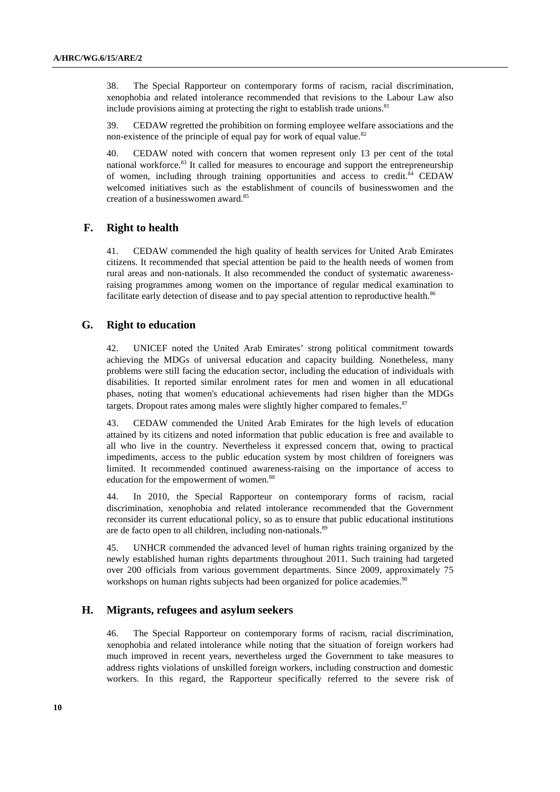38. The Special Rapporteur on contemporary forms of racism, racial discrimination, xenophobia and related intolerance recommended that revisions to the Labour Law also include provisions aiming at protecting the right to establish trade unions.<sup>81</sup>

39. CEDAW regretted the prohibition on forming employee welfare associations and the non-existence of the principle of equal pay for work of equal value.<sup>82</sup>

40. CEDAW noted with concern that women represent only 13 per cent of the total national workforce.<sup>83</sup> It called for measures to encourage and support the entrepreneurship of women, including through training opportunities and access to credit. $84$  CEDAW welcomed initiatives such as the establishment of councils of businesswomen and the creation of a businesswomen award.<sup>85</sup>

### **F. Right to health**

41. CEDAW commended the high quality of health services for United Arab Emirates citizens. It recommended that special attention be paid to the health needs of women from rural areas and non-nationals. It also recommended the conduct of systematic awarenessraising programmes among women on the importance of regular medical examination to facilitate early detection of disease and to pay special attention to reproductive health.<sup>86</sup>

## **G. Right to education**

42. UNICEF noted the United Arab Emirates' strong political commitment towards achieving the MDGs of universal education and capacity building. Nonetheless, many problems were still facing the education sector, including the education of individuals with disabilities. It reported similar enrolment rates for men and women in all educational phases, noting that women's educational achievements had risen higher than the MDGs targets. Dropout rates among males were slightly higher compared to females. <sup>87</sup>

43. CEDAW commended the United Arab Emirates for the high levels of education attained by its citizens and noted information that public education is free and available to all who live in the country. Nevertheless it expressed concern that, owing to practical impediments, access to the public education system by most children of foreigners was limited. It recommended continued awareness-raising on the importance of access to education for the empowerment of women.<sup>88</sup>

44. In 2010, the Special Rapporteur on contemporary forms of racism, racial discrimination, xenophobia and related intolerance recommended that the Government reconsider its current educational policy, so as to ensure that public educational institutions are de facto open to all children, including non-nationals.<sup>89</sup>

45. UNHCR commended the advanced level of human rights training organized by the newly established human rights departments throughout 2011. Such training had targeted over 200 officials from various government departments. Since 2009, approximately 75 workshops on human rights subjects had been organized for police academies.<sup>90</sup>

#### **H. Migrants, refugees and asylum seekers**

46. The Special Rapporteur on contemporary forms of racism, racial discrimination, xenophobia and related intolerance while noting that the situation of foreign workers had much improved in recent years, nevertheless urged the Government to take measures to address rights violations of unskilled foreign workers, including construction and domestic workers. In this regard, the Rapporteur specifically referred to the severe risk of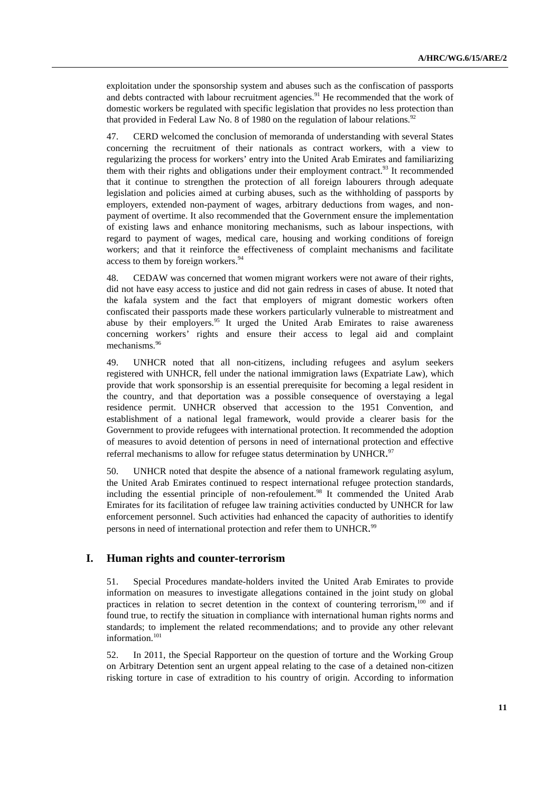exploitation under the sponsorship system and abuses such as the confiscation of passports and debts contracted with labour recruitment agencies.<sup>91</sup> He recommended that the work of domestic workers be regulated with specific legislation that provides no less protection than that provided in Federal Law No. 8 of 1980 on the regulation of labour relations.<sup>92</sup>

47. CERD welcomed the conclusion of memoranda of understanding with several States concerning the recruitment of their nationals as contract workers, with a view to regularizing the process for workers' entry into the United Arab Emirates and familiarizing them with their rights and obligations under their employment contract.<sup>93</sup> It recommended that it continue to strengthen the protection of all foreign labourers through adequate legislation and policies aimed at curbing abuses, such as the withholding of passports by employers, extended non-payment of wages, arbitrary deductions from wages, and nonpayment of overtime. It also recommended that the Government ensure the implementation of existing laws and enhance monitoring mechanisms, such as labour inspections, with regard to payment of wages, medical care, housing and working conditions of foreign workers; and that it reinforce the effectiveness of complaint mechanisms and facilitate access to them by foreign workers.<sup>94</sup>

48. CEDAW was concerned that women migrant workers were not aware of their rights, did not have easy access to justice and did not gain redress in cases of abuse. It noted that the kafala system and the fact that employers of migrant domestic workers often confiscated their passports made these workers particularly vulnerable to mistreatment and abuse by their employers.<sup>95</sup> It urged the United Arab Emirates to raise awareness concerning workers' rights and ensure their access to legal aid and complaint mechanisms.<sup>96</sup>

49. UNHCR noted that all non-citizens, including refugees and asylum seekers registered with UNHCR, fell under the national immigration laws (Expatriate Law), which provide that work sponsorship is an essential prerequisite for becoming a legal resident in the country, and that deportation was a possible consequence of overstaying a legal residence permit. UNHCR observed that accession to the 1951 Convention, and establishment of a national legal framework, would provide a clearer basis for the Government to provide refugees with international protection. It recommended the adoption of measures to avoid detention of persons in need of international protection and effective referral mechanisms to allow for refugee status determination by UNHCR.<sup>97</sup>

50. UNHCR noted that despite the absence of a national framework regulating asylum, the United Arab Emirates continued to respect international refugee protection standards, including the essential principle of non-refoulement.<sup>98</sup> It commended the United Arab Emirates for its facilitation of refugee law training activities conducted by UNHCR for law enforcement personnel. Such activities had enhanced the capacity of authorities to identify persons in need of international protection and refer them to UNHCR.<sup>99</sup>

#### **I. Human rights and counter-terrorism**

51. Special Procedures mandate-holders invited the United Arab Emirates to provide information on measures to investigate allegations contained in the joint study on global practices in relation to secret detention in the context of countering terrorism,<sup>100</sup> and if found true, to rectify the situation in compliance with international human rights norms and standards; to implement the related recommendations; and to provide any other relevant information.<sup>101</sup>

52. In 2011, the Special Rapporteur on the question of torture and the Working Group on Arbitrary Detention sent an urgent appeal relating to the case of a detained non-citizen risking torture in case of extradition to his country of origin. According to information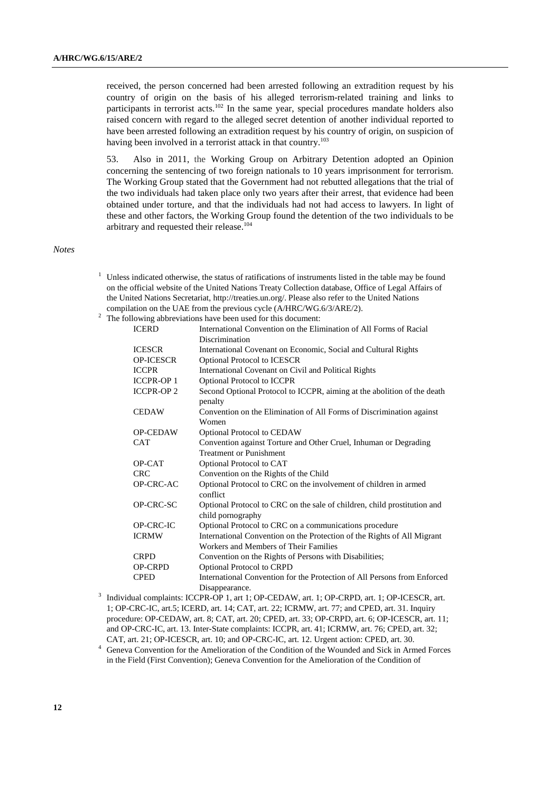received, the person concerned had been arrested following an extradition request by his country of origin on the basis of his alleged terrorism-related training and links to participants in terrorist acts.<sup>102</sup> In the same year, special procedures mandate holders also raised concern with regard to the alleged secret detention of another individual reported to have been arrested following an extradition request by his country of origin, on suspicion of having been involved in a terrorist attack in that country.<sup>103</sup>

53. Also in 2011, the Working Group on Arbitrary Detention adopted an Opinion concerning the sentencing of two foreign nationals to 10 years imprisonment for terrorism. The Working Group stated that the Government had not rebutted allegations that the trial of the two individuals had taken place only two years after their arrest, that evidence had been obtained under torture, and that the individuals had not had access to lawyers. In light of these and other factors, the Working Group found the detention of the two individuals to be arbitrary and requested their release.<sup>104</sup>

*Notes* 

- <sup>1</sup> Unless indicated otherwise, the status of ratifications of instruments listed in the table may be found on the official website of the United Nations Treaty Collection database, Office of Legal Affairs of the United Nations Secretariat, http://treaties.un.org/. Please also refer to the United Nations compilation on the UAE from the previous cycle (A/HRC/WG.6/3/ARE/2).
- 2 The following abbreviations have been used for this document:

| <b>ICERD</b>     | International Convention on the Elimination of All Forms of Racial       |
|------------------|--------------------------------------------------------------------------|
|                  | Discrimination                                                           |
| <b>ICESCR</b>    | International Covenant on Economic, Social and Cultural Rights           |
| <b>OP-ICESCR</b> | Optional Protocol to ICESCR                                              |
| <b>ICCPR</b>     | International Covenant on Civil and Political Rights                     |
| <b>ICCPR-OP1</b> | Optional Protocol to ICCPR                                               |
| <b>ICCPR-OP2</b> | Second Optional Protocol to ICCPR, aiming at the abolition of the death  |
|                  | penalty                                                                  |
| <b>CEDAW</b>     | Convention on the Elimination of All Forms of Discrimination against     |
|                  | Women                                                                    |
| <b>OP-CEDAW</b>  | <b>Optional Protocol to CEDAW</b>                                        |
| <b>CAT</b>       | Convention against Torture and Other Cruel, Inhuman or Degrading         |
|                  | <b>Treatment or Punishment</b>                                           |
| OP-CAT           | Optional Protocol to CAT                                                 |
| <b>CRC</b>       | Convention on the Rights of the Child                                    |
| OP-CRC-AC        | Optional Protocol to CRC on the involvement of children in armed         |
|                  | conflict                                                                 |
| OP-CRC-SC        | Optional Protocol to CRC on the sale of children, child prostitution and |
|                  | child pornography                                                        |
| OP-CRC-IC        | Optional Protocol to CRC on a communications procedure                   |
| <b>ICRMW</b>     | International Convention on the Protection of the Rights of All Migrant  |
|                  | Workers and Members of Their Families                                    |
| <b>CRPD</b>      | Convention on the Rights of Persons with Disabilities;                   |
| <b>OP-CRPD</b>   | <b>Optional Protocol to CRPD</b>                                         |
| <b>CPED</b>      | International Convention for the Protection of All Persons from Enforced |
|                  | Disappearance.                                                           |

- <sup>3</sup> Individual complaints: ICCPR-OP 1, art 1; OP-CEDAW, art. 1; OP-CRPD, art. 1; OP-ICESCR, art. 1; OP-CRC-IC, art.5; ICERD, art. 14; CAT, art. 22; ICRMW, art. 77; and CPED, art. 31. Inquiry procedure: OP-CEDAW, art. 8; CAT, art. 20; CPED, art. 33; OP-CRPD, art. 6; OP-ICESCR, art. 11; and OP-CRC-IC, art. 13. Inter-State complaints: ICCPR, art. 41; ICRMW, art. 76; CPED, art. 32; CAT, art. 21; OP-ICESCR, art. 10; and OP-CRC-IC, art. 12. Urgent action: CPED, art. 30.
- <sup>4</sup> Geneva Convention for the Amelioration of the Condition of the Wounded and Sick in Armed Forces in the Field (First Convention); Geneva Convention for the Amelioration of the Condition of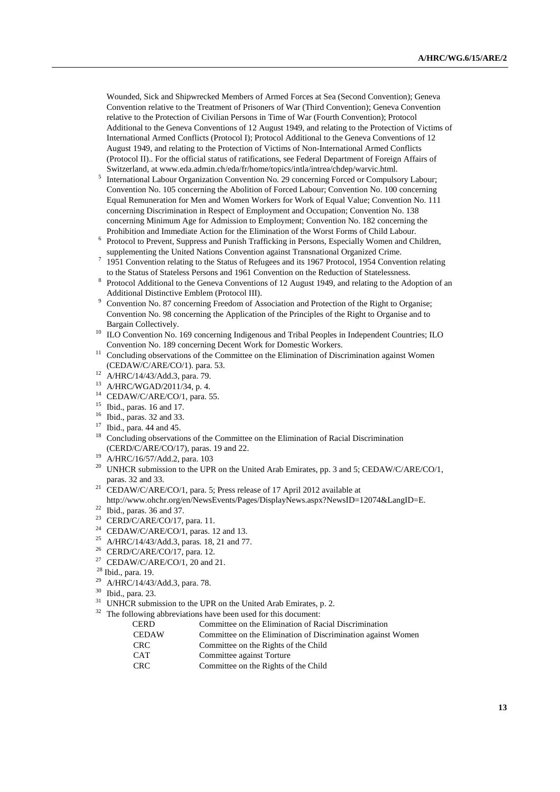Wounded, Sick and Shipwrecked Members of Armed Forces at Sea (Second Convention); Geneva Convention relative to the Treatment of Prisoners of War (Third Convention); Geneva Convention relative to the Protection of Civilian Persons in Time of War (Fourth Convention); Protocol Additional to the Geneva Conventions of 12 August 1949, and relating to the Protection of Victims of International Armed Conflicts (Protocol I); Protocol Additional to the Geneva Conventions of 12 August 1949, and relating to the Protection of Victims of Non-International Armed Conflicts (Protocol II).. For the official status of ratifications, see Federal Department of Foreign Affairs of Switzerland, at www.eda.admin.ch/eda/fr/home/topics/intla/intrea/chdep/warvic.html.

- <sup>5</sup> International Labour Organization Convention No. 29 concerning Forced or Compulsory Labour; Convention No. 105 concerning the Abolition of Forced Labour; Convention No. 100 concerning Equal Remuneration for Men and Women Workers for Work of Equal Value; Convention No. 111 concerning Discrimination in Respect of Employment and Occupation; Convention No. 138 concerning Minimum Age for Admission to Employment; Convention No. 182 concerning the Prohibition and Immediate Action for the Elimination of the Worst Forms of Child Labour.
- 6 Protocol to Prevent, Suppress and Punish Trafficking in Persons, Especially Women and Children, supplementing the United Nations Convention against Transnational Organized Crime.
- $7$  1951 Convention relating to the Status of Refugees and its 1967 Protocol, 1954 Convention relating to the Status of Stateless Persons and 1961 Convention on the Reduction of Statelessness.
- <sup>8</sup> Protocol Additional to the Geneva Conventions of 12 August 1949, and relating to the Adoption of an Additional Distinctive Emblem (Protocol III).
- <sup>9</sup> Convention No. 87 concerning Freedom of Association and Protection of the Right to Organise; Convention No. 98 concerning the Application of the Principles of the Right to Organise and to Bargain Collectively.
- <sup>10</sup> ILO Convention No. 169 concerning Indigenous and Tribal Peoples in Independent Countries; ILO Convention No. 189 concerning Decent Work for Domestic Workers.
- <sup>11</sup> Concluding observations of the Committee on the Elimination of Discrimination against Women (CEDAW/C/ARE/CO/1). para. 53.
- <sup>12</sup> A/HRC/14/43/Add.3, para. 79.
- <sup>13</sup> A/HRC/WGAD/2011/34, p. 4.<br><sup>14</sup> CEDAW/C/ARE/CO/1 name
- CEDAW/C/ARE/CO/1, para. 55.
- $15$  Ibid., paras. 16 and 17.
- <sup>16</sup> Ibid., paras. 32 and 33.
- <sup>17</sup> Ibid., para. 44 and 45.
- <sup>18</sup> Concluding observations of the Committee on the Elimination of Racial Discrimination (CERD/C/ARE/CO/17), paras. 19 and 22.
- <sup>19</sup> A/HRC/16/57/Add.2, para. 103
- <sup>20</sup> UNHCR submission to the UPR on the United Arab Emirates, pp. 3 and 5; CEDAW/C/ARE/CO/1, paras. 32 and 33.
- $21$  CEDAW/C/ARE/CO/1, para. 5; Press release of 17 April 2012 available at http://www.ohchr.org/en/NewsEvents/Pages/DisplayNews.aspx?NewsID=12074&LangID=E.
- $22$  Ibid., paras. 36 and 37.
- <sup>23</sup> CERD/C/ARE/CO/17, para. 11.
- <sup>24</sup> CEDAW/C/ARE/CO/1, paras. 12 and 13.
- <sup>25</sup> A/HRC/14/43/Add.3, paras. 18, 21 and 77.
- <sup>26</sup> CERD/C/ARE/CO/17, para. 12.
- <sup>27</sup> CEDAW/C/ARE/CO/1, 20 and 21.
- <sup>28</sup> Ibid., para. 19.
- A/HRC/14/43/Add.3, para. 78.
- <sup>30</sup> Ibid., para. 23.
- <sup>31</sup> UNHCR submission to the UPR on the United Arab Emirates, p. 2.<br><sup>32</sup> The following abbreviations have been used for this document:
- The following abbreviations have been used for this document:

| <b>CERD</b>  | Committee on the Elimination of Racial Discrimination        |
|--------------|--------------------------------------------------------------|
| <b>CEDAW</b> | Committee on the Elimination of Discrimination against Women |
| <b>CRC</b>   | Committee on the Rights of the Child                         |
| <b>CAT</b>   | Committee against Torture                                    |
| <b>CRC</b>   | Committee on the Rights of the Child                         |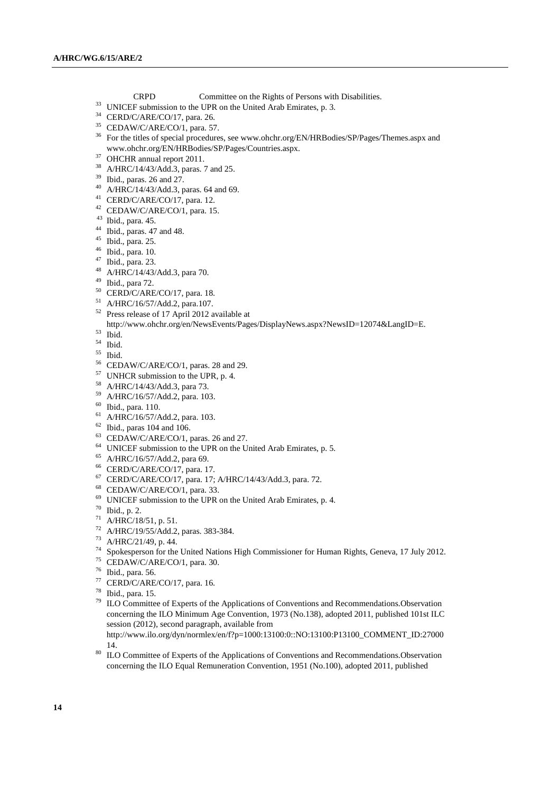- CRPD Committee on the Rights of Persons with Disabilities.
- <sup>33</sup> UNICEF submission to the UPR on the United Arab Emirates, p. 3.
- CERD/C/ARE/CO/17, para. 26.
- CEDAW/C/ARE/CO/1, para. 57.
- <sup>36</sup> For the titles of special procedures, see www.ohchr.org/EN/HRBodies/SP/Pages/Themes.aspx and www.ohchr.org/EN/HRBodies/SP/Pages/Countries.aspx.
- OHCHR annual report 2011.
- A/HRC/14/43/Add.3, paras. 7 and 25.
- Ibid., paras. 26 and 27.
- A/HRC/14/43/Add.3, paras. 64 and 69.
- CERD/C/ARE/CO/17, para. 12.
- CEDAW/C/ARE/CO/1, para. 15.
- Ibid., para. 45.
- Ibid., paras. 47 and 48.
- Ibid., para. 25.
- Ibid., para. 10.
- Ibid., para. 23.
- A/HRC/14/43/Add.3, para 70.
- Ibid., para 72.
- CERD/C/ARE/CO/17, para. 18.
- A/HRC/16/57/Add.2, para.107.
- Press release of 17 April 2012 available at
- http://www.ohchr.org/en/NewsEvents/Pages/DisplayNews.aspx?NewsID=12074&LangID=E.
- Ibid.
- Ibid.
- Ibid.
- CEDAW/C/ARE/CO/1, paras. 28 and 29.
- <sup>57</sup> UNHCR submission to the UPR, p. 4.
- <sup>58</sup> A/HRC/14/43/Add.3, para 73.
- A/HRC/16/57/Add.2, para. 103.
- Ibid., para. 110.
- A/HRC/16/57/Add.2, para. 103.
- Ibid., paras 104 and 106.
- CEDAW/C/ARE/CO/1, paras. 26 and 27.
- UNICEF submission to the UPR on the United Arab Emirates, p. 5.
- A/HRC/16/57/Add.2, para 69.
- CERD/C/ARE/CO/17, para. 17.
- CERD/C/ARE/CO/17, para. 17; A/HRC/14/43/Add.3, para. 72.
- CEDAW/C/ARE/CO/1, para. 33.
- UNICEF submission to the UPR on the United Arab Emirates, p. 4.
- Ibid., p. 2.
- A/HRC/18/51, p. 51.
- A/HRC/19/55/Add.2, paras. 383-384.
- A/HRC/21/49, p. 44.
- Spokesperson for the United Nations High Commissioner for Human Rights, Geneva, 17 July 2012.
- CEDAW/C/ARE/CO/1, para. 30.
- Ibid., para. 56.
- CERD/C/ARE/CO/17, para. 16.
- $\frac{78}{79}$  Ibid., para. 15.
- ILO Committee of Experts of the Applications of Conventions and Recommendations.Observation concerning the ILO Minimum Age Convention, 1973 (No.138), adopted 2011, published 101st ILC session (2012), second paragraph, available from http://www.ilo.org/dyn/normlex/en/f?p=1000:13100:0::NO:13100:P13100\_COMMENT\_ID:27000 14.
- ILO Committee of Experts of the Applications of Conventions and Recommendations.Observation concerning the ILO Equal Remuneration Convention, 1951 (No.100), adopted 2011, published